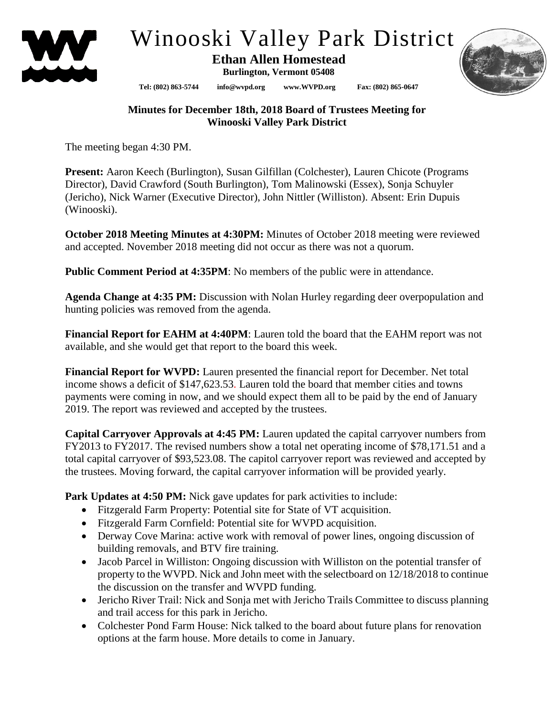

## Winooski Valley Park District

 **Ethan Allen Homestead Burlington, Vermont 05408**

**Tel: (802) 863-5744 info@wvpd.org [www.WVPD.org](http://www.wvpd.org/) Fax: (802) 865-0647** 

**Minutes for December 18th, 2018 Board of Trustees Meeting for Winooski Valley Park District**

The meeting began 4:30 PM.

**Present:** Aaron Keech (Burlington), Susan Gilfillan (Colchester), Lauren Chicote (Programs Director), David Crawford (South Burlington), Tom Malinowski (Essex), Sonja Schuyler (Jericho), Nick Warner (Executive Director), John Nittler (Williston). Absent: Erin Dupuis (Winooski).

**October 2018 Meeting Minutes at 4:30PM:** Minutes of October 2018 meeting were reviewed and accepted. November 2018 meeting did not occur as there was not a quorum.

**Public Comment Period at 4:35PM**: No members of the public were in attendance.

**Agenda Change at 4:35 PM:** Discussion with Nolan Hurley regarding deer overpopulation and hunting policies was removed from the agenda.

**Financial Report for EAHM at 4:40PM**: Lauren told the board that the EAHM report was not available, and she would get that report to the board this week.

**Financial Report for WVPD:** Lauren presented the financial report for December. Net total income shows a deficit of \$147,623.53. Lauren told the board that member cities and towns payments were coming in now, and we should expect them all to be paid by the end of January 2019. The report was reviewed and accepted by the trustees.

**Capital Carryover Approvals at 4:45 PM:** Lauren updated the capital carryover numbers from FY2013 to FY2017. The revised numbers show a total net operating income of \$78,171.51 and a total capital carryover of \$93,523.08. The capitol carryover report was reviewed and accepted by the trustees. Moving forward, the capital carryover information will be provided yearly.

**Park Updates at 4:50 PM:** Nick gave updates for park activities to include:

- Fitzgerald Farm Property: Potential site for State of VT acquisition.
- Fitzgerald Farm Cornfield: Potential site for WVPD acquisition.
- Derway Cove Marina: active work with removal of power lines, ongoing discussion of building removals, and BTV fire training.
- Jacob Parcel in Williston: Ongoing discussion with Williston on the potential transfer of property to the WVPD. Nick and John meet with the selectboard on 12/18/2018 to continue the discussion on the transfer and WVPD funding.
- Jericho River Trail: Nick and Sonja met with Jericho Trails Committee to discuss planning and trail access for this park in Jericho.
- Colchester Pond Farm House: Nick talked to the board about future plans for renovation options at the farm house. More details to come in January.